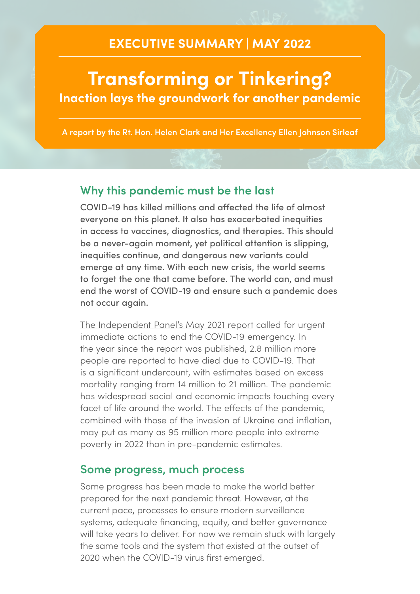# **EXECUTIVE SUMMARY | MAY 2022**

# **Transforming or Tinkering? Inaction lays the groundwork for another pandemic**

**A report by the Rt. Hon. Helen Clark and Her Excellency Ellen Johnson Sirleaf**

### **Why this pandemic must be the last**

COVID-19 has killed millions and affected the life of almost everyone on this planet. It also has exacerbated inequities in access to vaccines, diagnostics, and therapies. This should be a never-again moment, yet political attention is slipping, inequities continue, and dangerous new variants could emerge at any time. With each new crisis, the world seems to forget the one that came before. The world can, and must end the worst of COVID-19 and ensure such a pandemic does not occur again.

The [Independent](https://theindependentpanel.org/mainreport/) Panel's May 2021 report called for urgent immediate actions to end the COVID-19 emergency. In the year since the report was published, 2.8 million more people are reported to have died due to COVID-19. That is a significant undercount, with estimates based on excess mortality ranging from 14 million to 21 million. The pandemic has widespread social and economic impacts touching every facet of life around the world. The effects of the pandemic, combined with those of the invasion of Ukraine and inflation, may put as many as 95 million more people into extreme poverty in 2022 than in pre-pandemic estimates.

### **Some progress, much process**

Some progress has been made to make the world better prepared for the next pandemic threat. However, at the current pace, processes to ensure modern surveillance systems, adequate financing, equity, and better governance will take years to deliver. For now we remain stuck with largely the same tools and the system that existed at the outset of 2020 when the COVID-19 virus first emerged.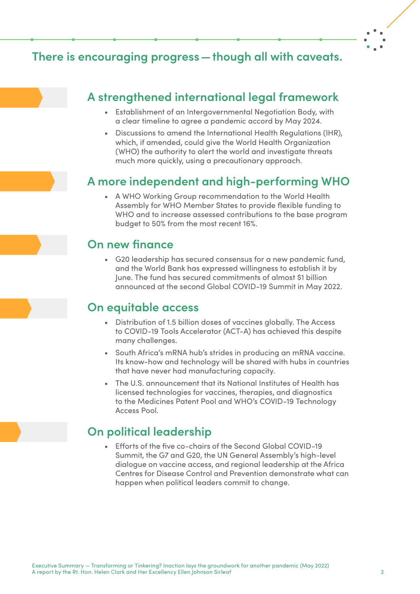# **There is encouraging progress—though all with caveats.**

### **A strengthened international legal framework**

- Establishment of an Intergovernmental Negotiation Body, with a clear timeline to agree a pandemic accord by May 2024.
- Discussions to amend the International Health Regulations (IHR), which, if amended, could give the World Health Organization (WHO) the authority to alert the world and investigate threats much more quickly, using a precautionary approach.

## **A more independent and high-performing WHO**

• A WHO Working Group recommendation to the World Health Assembly for WHO Member States to provide flexible funding to WHO and to increase assessed contributions to the base program budget to 50% from the most recent 16%.

### **On new finance**

• G20 leadership has secured consensus for a new pandemic fund, and the World Bank has expressed willingness to establish it by June. The fund has secured commitments of almost \$1 billion announced at the second Global COVID-19 Summit in May 2022.

### **On equitable access**

- Distribution of 1.5 billion doses of vaccines globally. The Access to COVID-19 Tools Accelerator (ACT-A) has achieved this despite many challenges.
- South Africa's mRNA hub's strides in producing an mRNA vaccine. Its know-how and technology will be shared with hubs in countries that have never had manufacturing capacity.
- The U.S. announcement that its National Institutes of Health has licensed technologies for vaccines, therapies, and diagnostics to the Medicines Patent Pool and WHO's COVID-19 Technology Access Pool.

# **On political leadership**

• Efforts of the five co-chairs of the Second Global COVID-19 Summit, the G7 and G20, the UN General Assembly's high-level dialogue on vaccine access, and regional leadership at the Africa Centres for Disease Control and Prevention demonstrate what can happen when political leaders commit to change.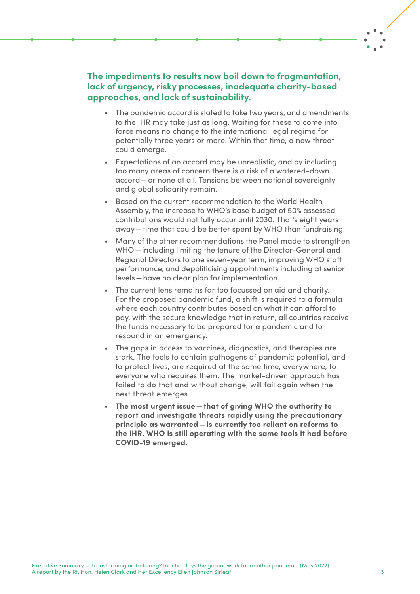#### **The impediments to results now boil down to fragmentation, lack of urgency, risky processes, inadequate charity-based approaches, and lack of sustainability.**

- The pandemic accord is slated to take two years, and amendments to the IHR may take just as long. Waiting for these to come into force means no change to the international legal regime for potentially three years or more. Within that time, a new threat could emerge.
- Expectations of an accord may be unrealistic, and by including too many areas of concern there is a risk of a watered-down accord—or none at all. Tensions between national sovereignty and global solidarity remain.
- Based on the current recommendation to the World Health Assembly, the increase to WHO's base budget of 50% assessed contributions would not fully occur until 2030. That's eight years away—time that could be better spent by WHO than fundraising.
- Many of the other recommendations the Panel made to strengthen WHO—including limiting the tenure of the Director-General and Regional Directors to one seven-year term, improving WHO staff performance, and depoliticising appointments including at senior levels—have no clear plan for implementation.
- The current lens remains far too focussed on aid and charity. For the proposed pandemic fund, a shift is required to a formula where each country contributes based on what it can afford to pay, with the secure knowledge that in return, all countries receive the funds necessary to be prepared for a pandemic and to respond in an emergency.
- The gaps in access to vaccines, diagnostics, and therapies are stark. The tools to contain pathogens of pandemic potential, and to protect lives, are required at the same time, everywhere, to everyone who requires them. The market-driven approach has failed to do that and without change, will fail again when the next threat emerges.
- **The most urgent issue—that of giving WHO the authority to report and investigate threats rapidly using the precautionary principle as warranted—is currently too reliant on reforms to the IHR. WHO is still operating with the same tools it had before COVID-19 emerged.**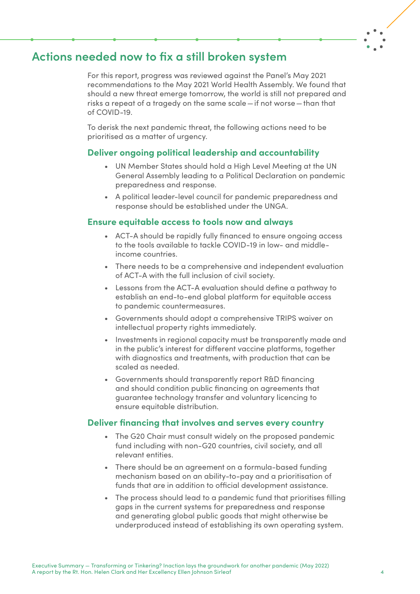#### General Assembly leading to a Political Declaration on pandemic preparedness and response.

**Actions needed now to fix a still broken system**

prioritised as a matter of urgency.

of COVID-19.

• A political leader-level council for pandemic preparedness and response should be established under the UNGA.

UN Member States should hold a High Level Meeting at the UN

For this report, progress was reviewed against the Panel's May 2021 recommendations to the May 2021 World Health Assembly. We found that should a new threat emerge tomorrow, the world is still not prepared and risks a repeat of a tragedy on the same scale—if not worse—than that

To derisk the next pandemic threat, the following actions need to be

**Deliver ongoing political leadership and accountability**

#### **Ensure equitable access to tools now and always**

- ACT-A should be rapidly fully financed to ensure ongoing access to the tools available to tackle COVID-19 in low- and middleincome countries.
- There needs to be a comprehensive and independent evaluation of ACT-A with the full inclusion of civil society.
- Lessons from the ACT-A evaluation should define a pathway to establish an end-to-end global platform for equitable access to pandemic countermeasures.
- Governments should adopt a comprehensive TRIPS waiver on intellectual property rights immediately.
- Investments in regional capacity must be transparently made and in the public's interest for different vaccine platforms, together with diagnostics and treatments, with production that can be scaled as needed.
- Governments should transparently report R&D financing and should condition public financing on agreements that guarantee technology transfer and voluntary licencing to ensure equitable distribution.

### **Deliver financing that involves and serves every country**

- The G20 Chair must consult widely on the proposed pandemic fund including with non-G20 countries, civil society, and all relevant entities.
- There should be an agreement on a formula-based funding mechanism based on an ability-to-pay and a prioritisation of funds that are in addition to official development assistance.
- The process should lead to a pandemic fund that prioritises filling gaps in the current systems for preparedness and response and generating global public goods that might otherwise be underproduced instead of establishing its own operating system.